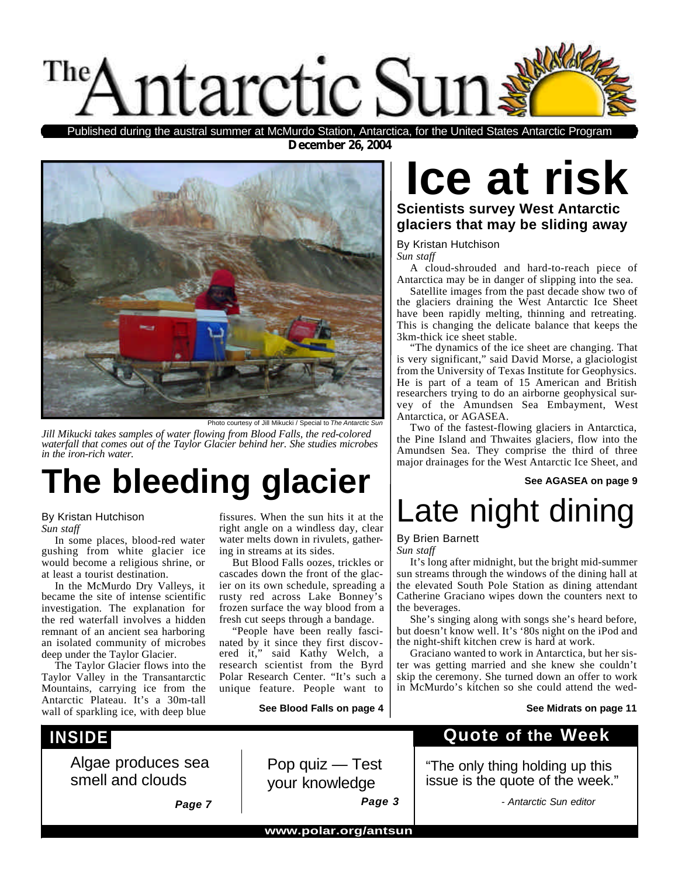

**December 26, 2004** Published during the austral summer at McMurdo Station, Antarctica, for the United States Antarctic Program



Photo courtesy of Jill Mikucki / Special to The Anta

*Jill Mikucki takes samples of water flowing from Blood Falls, the red-colored waterfall that comes out of the Taylor Glacier behind her. She studies microbes in the iron-rich water.*

## **The bleeding glacier**

#### By Kristan Hutchison

*Sun staff*

In some places, blood-red water gushing from white glacier ice would become a religious shrine, or at least a tourist destination.

In the McMurdo Dry Valleys, it became the site of intense scientific investigation. The explanation for the red waterfall involves a hidden remnant of an ancient sea harboring an isolated community of microbes deep under the Taylor Glacier.

The Taylor Glacier flows into the Taylor Valley in the Transantarctic Mountains, carrying ice from the Antarctic Plateau. It's a 30m-tall wall of sparkling ice, with deep blue

#### **INSIDE**

Algae produces sea smell and clouds

fissures. When the sun hits it at the right angle on a windless day, clear water melts down in rivulets, gathering in streams at its sides.

But Blood Falls oozes, trickles or cascades down the front of the glacier on its own schedule, spreading a rusty red across Lake Bonney's frozen surface the way blood from a fresh cut seeps through a bandage.

"People have been really fascinated by it since they first discovered it," said Kathy Welch, a research scientist from the Byrd Polar Research Center. "It's such a unique feature. People want to

**See Blood Falls on page 4**

## **Ice at risk**

#### **Scientists survey West Antarctic glaciers that may be sliding away**

By Kristan Hutchison

*Sun staff*

A cloud-shrouded and hard-to-reach piece of Antarctica may be in danger of slipping into the sea.

Satellite images from the past decade show two of the glaciers draining the West Antarctic Ice Sheet have been rapidly melting, thinning and retreating. This is changing the delicate balance that keeps the 3km-thick ice sheet stable.

"The dynamics of the ice sheet are changing. That is very significant," said David Morse, a glaciologist from the University of Texas Institute for Geophysics. He is part of a team of 15 American and British researchers trying to do an airborne geophysical survey of the Amundsen Sea Embayment, West Antarctica, or AGASEA.

Two of the fastest-flowing glaciers in Antarctica, the Pine Island and Thwaites glaciers, flow into the Amundsen Sea. They comprise the third of three major drainages for the West Antarctic Ice Sheet, and

#### **See AGASEA on page 9**

## Late night dining

#### By Brien Barnett

*Sun staff*

It's long after midnight, but the bright mid-summer sun streams through the windows of the dining hall at the elevated South Pole Station as dining attendant Catherine Graciano wipes down the counters next to the beverages.

She's singing along with songs she's heard before, but doesn't know well. It's '80s night on the iPod and the night-shift kitchen crew is hard at work.

Graciano wanted to work in Antarctica, but her sister was getting married and she knew she couldn't skip the ceremony. She turned down an offer to work in McMurdo's kitchen so she could attend the wed-

#### **See Midrats on page 11**

#### **Quote of the Week**

"The only thing holding up this issue is the quote of the week."

*Page 7*

Pop quiz — Test your knowledge *Page 3*

*- Antarctic Sun editor*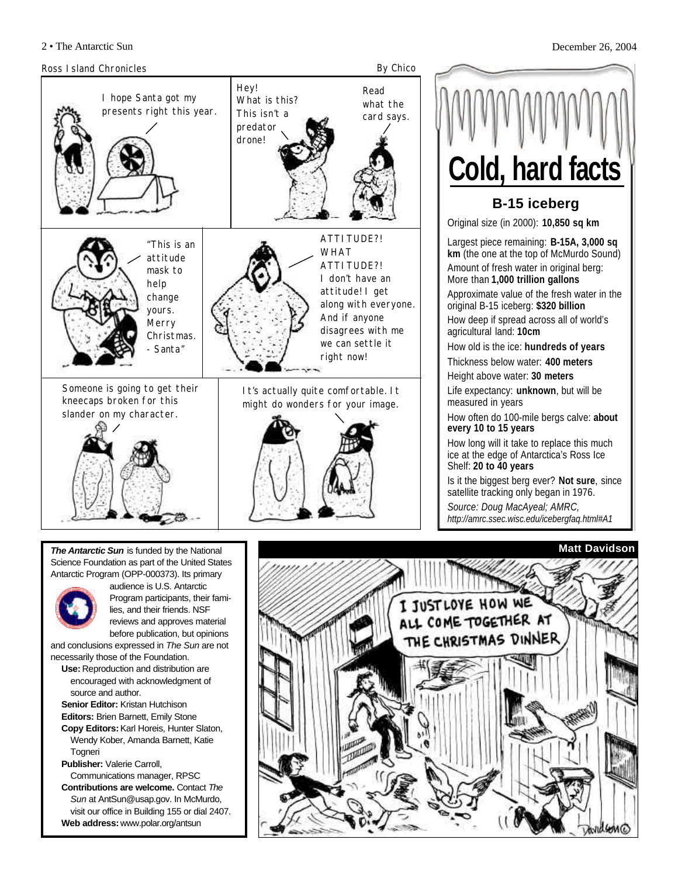





lies, and their friends. NSF reviews and approves material before publication, but opinions

and conclusions expressed in *The Sun* are not necessarily those of the Foundation.

- **Use:** Reproduction and distribution are encouraged with acknowledgment of source and author.
- **Senior Editor:** Kristan Hutchison **Editors:** Brien Barnett, Emily Stone **Copy Editors:**Karl Horeis, Hunter Slaton, Wendy Kober, Amanda Barnett, Katie
- **Togneri Publisher:** Valerie Carroll,
- Communications manager, RPSC
- **Contributions are welcome.** Contact *The Sun* at AntSun@usap.gov. In McMurdo, visit our office in Building 155 or dial 2407. **Web address:** www.polar.org/antsun

ALL COME TOGETHER AT THE CHRISTMAS DINNER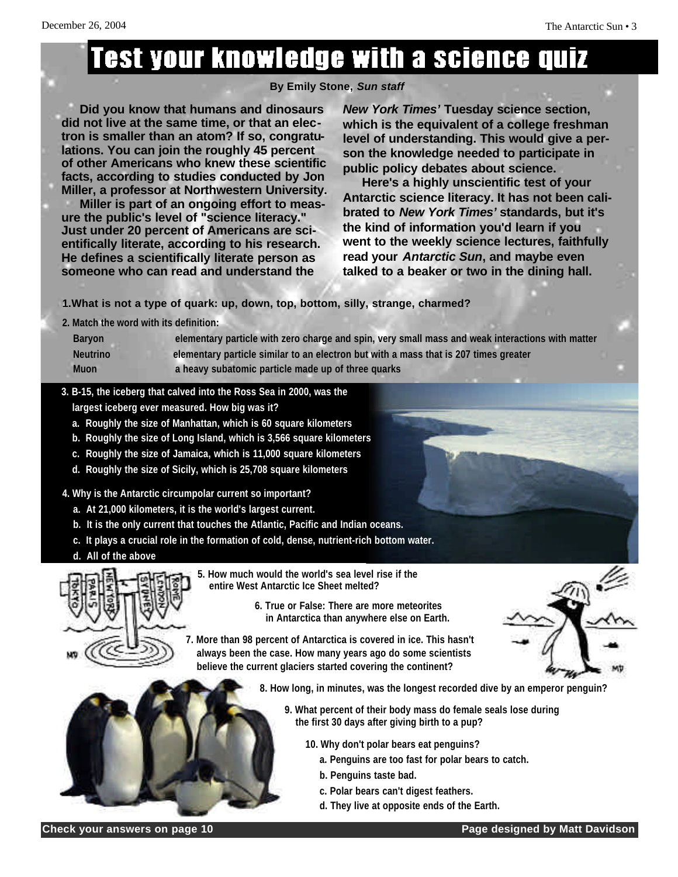## **Test your knowledge with a science quize**

#### **By Emily Stone,** *Sun staff*

**Did you know that humans and dinosaurs did not live at the same time, or that an electron is smaller than an atom? If so, congratulations. You can join the roughly 45 percent of other Americans who knew these scientific facts, according to studies conducted by Jon Miller, a professor at Northwestern University. Miller is part of an ongoing effort to measure the public's level of "science literacy." Just under 20 percent of Americans are scientifically literate, according to his research. He defines a scientifically literate person as someone who can read and understand the**

*New York Times'* **Tuesday science section, which is the equivalent of a college freshman level of understanding. This would give a person the knowledge needed to participate in public policy debates about science.**

**Here's a highly unscientific test of your Antarctic science literacy. It has not been calibrated to** *New York Times'* **standards, but it's the kind of information you'd learn if you went to the weekly science lectures, faithfully read your** *Antarctic Sun***, and maybe even talked to a beaker or two in the dining hall.**

**1.What is not a type of quark: up, down, top, bottom, silly, strange, charmed?**

**2. Match the word with its definition:** 

| <b>Baryon</b>   | elementary particle with zero charge and spin, very small mass and weak interactions with matter |
|-----------------|--------------------------------------------------------------------------------------------------|
| <b>Neutrino</b> | elementary particle similar to an electron but with a mass that is 207 times greater             |
| <b>Muon</b>     | a heavy subatomic particle made up of three quarks                                               |

- **3. B-15, the iceberg that calved into the Ross Sea in 2000, was the largest iceberg ever measured. How big was it?** 
	- **a. Roughly the size of Manhattan, which is 60 square kilometers**
	- **b. Roughly the size of Long Island, which is 3,566 square kilometers**
	- **c. Roughly the size of Jamaica, which is 11,000 square kilometers**
	- **d. Roughly the size of Sicily, which is 25,708 square kilometers**
- **4. Why is the Antarctic circumpolar current so important?** 
	- **a. At 21,000 kilometers, it is the world's largest current.**
	- **b. It is the only current that touches the Atlantic, Pacific and Indian oceans.**
	- **c. It plays a crucial role in the formation of cold, dense, nutrient-rich bottom water.**
	- **d. All of the above**



- **5. How much would the world's sea level rise if the entire West Antarctic Ice Sheet melted?**
	- **6. True or False: There are more meteorites in Antarctica than anywhere else on Earth.**

**7. More than 98 percent of Antarctica is covered in ice. This hasn't always been the case. How many years ago do some scientists believe the current glaciers started covering the continent?** 

- **8. How long, in minutes, was the longest recorded dive by an emperor penguin?** 
	- **9. What percent of their body mass do female seals lose during the first 30 days after giving birth to a pup?** 
		- **10. Why don't polar bears eat penguins?** 
			- **a. Penguins are too fast for polar bears to catch.**
			- **b. Penguins taste bad.**
			- **c. Polar bears can't digest feathers.**
			- **d. They live at opposite ends of the Earth.**

**Check your answers on page 10 Page designed by Matt Davidson**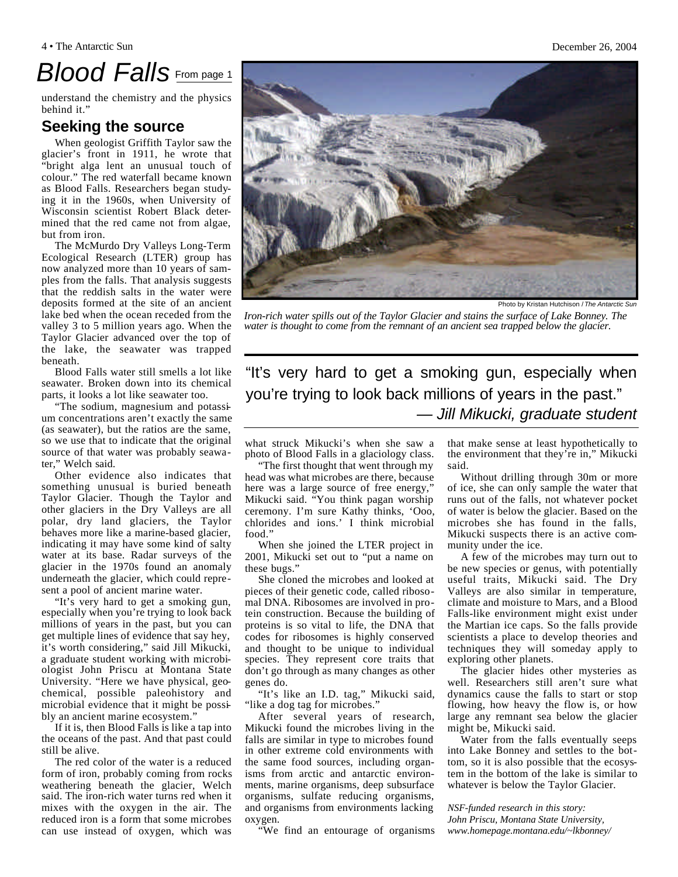## *Blood Falls* From page 1

understand the chemistry and the physics behind it."

#### **Seeking the source**

When geologist Griffith Taylor saw the glacier's front in 1911, he wrote that "bright alga lent an unusual touch of colour." The red waterfall became known as Blood Falls. Researchers began studying it in the 1960s, when University of Wisconsin scientist Robert Black determined that the red came not from algae, but from iron.

The McMurdo Dry Valleys Long-Term Ecological Research (LTER) group has now analyzed more than 10 years of samples from the falls. That analysis suggests that the reddish salts in the water were deposits formed at the site of an ancient lake bed when the ocean receded from the valley 3 to 5 million years ago. When the Taylor Glacier advanced over the top of the lake, the seawater was trapped beneath.

Blood Falls water still smells a lot like seawater. Broken down into its chemical parts, it looks a lot like seawater too.

"The sodium, magnesium and potassium concentrations aren't exactly the same (as seawater), but the ratios are the same, so we use that to indicate that the original source of that water was probably seawater," Welch said.

Other evidence also indicates that something unusual is buried beneath Taylor Glacier. Though the Taylor and other glaciers in the Dry Valleys are all polar, dry land glaciers, the Taylor behaves more like a marine-based glacier, indicating it may have some kind of salty water at its base. Radar surveys of the glacier in the 1970s found an anomaly underneath the glacier, which could represent a pool of ancient marine water.

"It's very hard to get a smoking gun, especially when you're trying to look back millions of years in the past, but you can get multiple lines of evidence that say hey, it's worth considering," said Jill Mikucki, a graduate student working with microbiologist John Priscu at Montana State University. "Here we have physical, geochemical, possible paleohistory and microbial evidence that it might be possibly an ancient marine ecosystem."

If it is, then Blood Falls is like a tap into the oceans of the past. And that past could still be alive.

The red color of the water is a reduced form of iron, probably coming from rocks weathering beneath the glacier, Welch said. The iron-rich water turns red when it mixes with the oxygen in the air. The reduced iron is a form that some microbes can use instead of oxygen, which was

"It's very hard to get a smoking gun, especially when you're trying to look back millions of years in the past." *— Jill Mikucki, graduate student*

what struck Mikucki's when she saw a photo of Blood Falls in a glaciology class.

"The first thought that went through my head was what microbes are there, because here was a large source of free energy," Mikucki said. "You think pagan worship ceremony. I'm sure Kathy thinks, 'Ooo, chlorides and ions.' I think microbial food."

When she joined the LTER project in 2001, Mikucki set out to "put a name on these bugs."

She cloned the microbes and looked at pieces of their genetic code, called ribosomal DNA. Ribosomes are involved in protein construction. Because the building of proteins is so vital to life, the DNA that codes for ribosomes is highly conserved and thought to be unique to individual species. They represent core traits that don't go through as many changes as other genes do.

"It's like an I.D. tag," Mikucki said, "like a dog tag for microbes."

After several years of research, Mikucki found the microbes living in the falls are similar in type to microbes found in other extreme cold environments with the same food sources, including organisms from arctic and antarctic environments, marine organisms, deep subsurface organisms, sulfate reducing organisms, and organisms from environments lacking oxygen.

"We find an entourage of organisms

that make sense at least hypothetically to the environment that they're in," Mikucki said.

Without drilling through 30m or more of ice, she can only sample the water that runs out of the falls, not whatever pocket of water is below the glacier. Based on the microbes she has found in the falls, Mikucki suspects there is an active community under the ice.

A few of the microbes may turn out to be new species or genus, with potentially useful traits, Mikucki said. The Dry Valleys are also similar in temperature, climate and moisture to Mars, and a Blood Falls-like environment might exist under the Martian ice caps. So the falls provide scientists a place to develop theories and techniques they will someday apply to exploring other planets.

The glacier hides other mysteries as well. Researchers still aren't sure what dynamics cause the falls to start or stop flowing, how heavy the flow is, or how large any remnant sea below the glacier might be, Mikucki said.

Water from the falls eventually seeps into Lake Bonney and settles to the bottom, so it is also possible that the ecosystem in the bottom of the lake is similar to whatever is below the Taylor Glacier.

*NSF-funded research in this story: John Priscu, Montana State University, www.homepage.montana.edu/~lkbonney/*

Photo by Kristan Hutchison / *The Antarctic Sun*

*Iron-rich water spills out of the Taylor Glacier and stains the surface of Lake Bonney. The water is thought to come from the remnant of an ancient sea trapped below the glacier.*

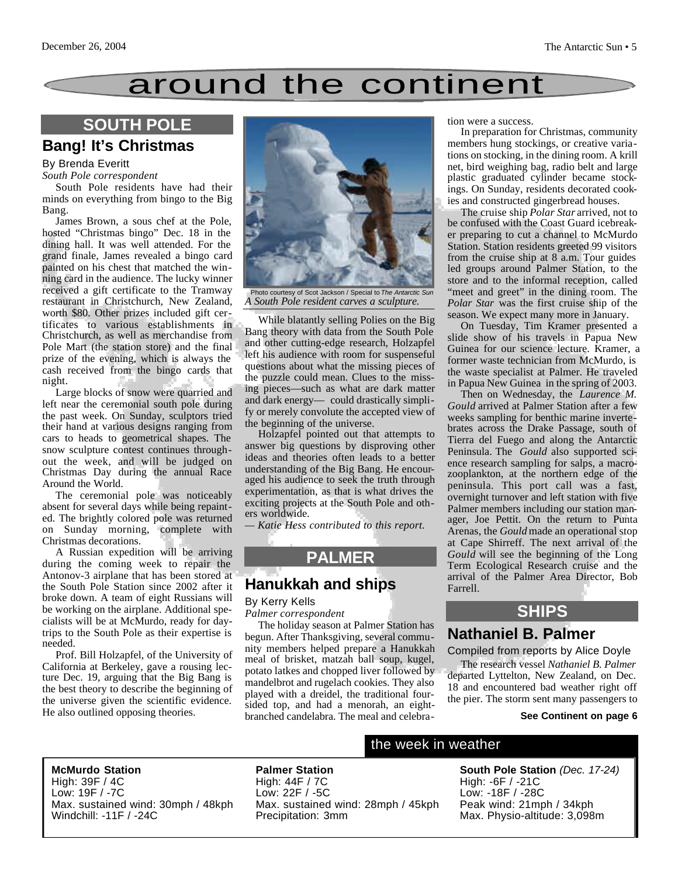## around the continent

#### **SOUTH POLE**

#### **Bang! It's Christmas**

#### By Brenda Everitt

#### *South Pole correspondent*

South Pole residents have had their minds on everything from bingo to the Big Bang.

James Brown, a sous chef at the Pole, hosted "Christmas bingo" Dec. 18 in the dining hall. It was well attended. For the grand finale, James revealed a bingo card painted on his chest that matched the winning card in the audience. The lucky winner received a gift certificate to the Tramway restaurant in Christchurch, New Zealand, worth \$80. Other prizes included gift certificates to various establishments in Christchurch, as well as merchandise from Pole Mart (the station store) and the final prize of the evening, which is always the cash received from the bingo cards that night.

Large blocks of snow were quarried and left near the ceremonial south pole during the past week. On Sunday, sculptors tried their hand at various designs ranging from cars to heads to geometrical shapes. The snow sculpture contest continues throughout the week, and will be judged on Christmas Day during the annual Race Around the World.

The ceremonial pole was noticeably absent for several days while being repainted. The brightly colored pole was returned on Sunday morning, complete with Christmas decorations.

A Russian expedition will be arriving during the coming week to repair the Antonov-3 airplane that has been stored at the South Pole Station since 2002 after it broke down. A team of eight Russians will be working on the airplane. Additional specialists will be at McMurdo, ready for daytrips to the South Pole as their expertise is needed.

Prof. Bill Holzapfel, of the University of California at Berkeley, gave a rousing lecture Dec. 19, arguing that the Big Bang is the best theory to describe the beginning of the universe given the scientific evidence. He also outlined opposing theories.



Photo courtesy of Scot Jackson / Special to *The Antarctic Sun A South Pole resident carves a sculpture.*

While blatantly selling Polies on the Big Bang theory with data from the South Pole and other cutting-edge research, Holzapfel left his audience with room for suspenseful questions about what the missing pieces of the puzzle could mean. Clues to the missing pieces—such as what are dark matter and dark energy— could drastically simplify or merely convolute the accepted view of the beginning of the universe.

Holzapfel pointed out that attempts to answer big questions by disproving other ideas and theories often leads to a better understanding of the Big Bang. He encouraged his audience to seek the truth through experimentation, as that is what drives the exciting projects at the South Pole and others worldwide.

*— Katie Hess contributed to this report.*

#### **PALMER**

#### **Hanukkah and ships**

#### By Kerry Kells

*Palmer correspondent*

**Palmer Station** 

The holiday season at Palmer Station has begun. After Thanksgiving, several community members helped prepare a Hanukkah meal of brisket, matzah ball soup, kugel, potato latkes and chopped liver followed by mandelbrot and rugelach cookies. They also played with a dreidel, the traditional foursided top, and had a menorah, an eightbranched candelabra. The meal and celebration were a success.

In preparation for Christmas, community members hung stockings, or creative variations on stocking, in the dining room. A krill net, bird weighing bag, radio belt and large plastic graduated cylinder became stockings. On Sunday, residents decorated cookies and constructed gingerbread houses.

The cruise ship *Polar Star* arrived, not to be confused with the Coast Guard icebreaker preparing to cut a channel to McMurdo Station. Station residents greeted 99 visitors from the cruise ship at 8 a.m. Tour guides led groups around Palmer Station, to the store and to the informal reception, called "meet and greet" in the dining room. The *Polar Star* was the first cruise ship of the season. We expect many more in January.

On Tuesday, Tim Kramer presented a slide show of his travels in Papua New Guinea for our science lecture. Kramer, a former waste technician from McMurdo, is the waste specialist at Palmer. He traveled in Papua New Guinea in the spring of 2003.

Then on Wednesday, the *Laurence M. Gould* arrived at Palmer Station after a few weeks sampling for benthic marine invertebrates across the Drake Passage, south of Tierra del Fuego and along the Antarctic Peninsula. The *Gould* also supported science research sampling for salps, a macrozooplankton, at the northern edge of the peninsula. This port call was a fast, overnight turnover and left station with five Palmer members including our station manager, Joe Pettit. On the return to Punta Arenas, the *Gould* made an operational stop at Cape Shirreff. The next arrival of the *Gould* will see the beginning of the Long Term Ecological Research cruise and the arrival of the Palmer Area Director, Bob Farrell.

#### **SHIPS**

#### **Nathaniel B. Palmer**

#### Compiled from reports by Alice Doyle

The research vessel *Nathaniel B. Palmer* departed Lyttelton, New Zealand, on Dec. 18 and encountered bad weather right off the pier. The storm sent many passengers to

#### **See Continent on page 6**

**McMurdo Station**

High: 39F / 4C Low: 19F / -7C Max. sustained wind: 30mph / 48kph Windchill: -11F / -24C

High: 44F / 7C Low: 22F / -5C Max. sustained wind: 28mph / 45kph Precipitation: 3mm

#### the week in weather

**South Pole Station** *(Dec. 17-24)* High: -6F / -21C Low: -18F / -28C Peak wind: 21mph / 34kph Max. Physio-altitude: 3,098m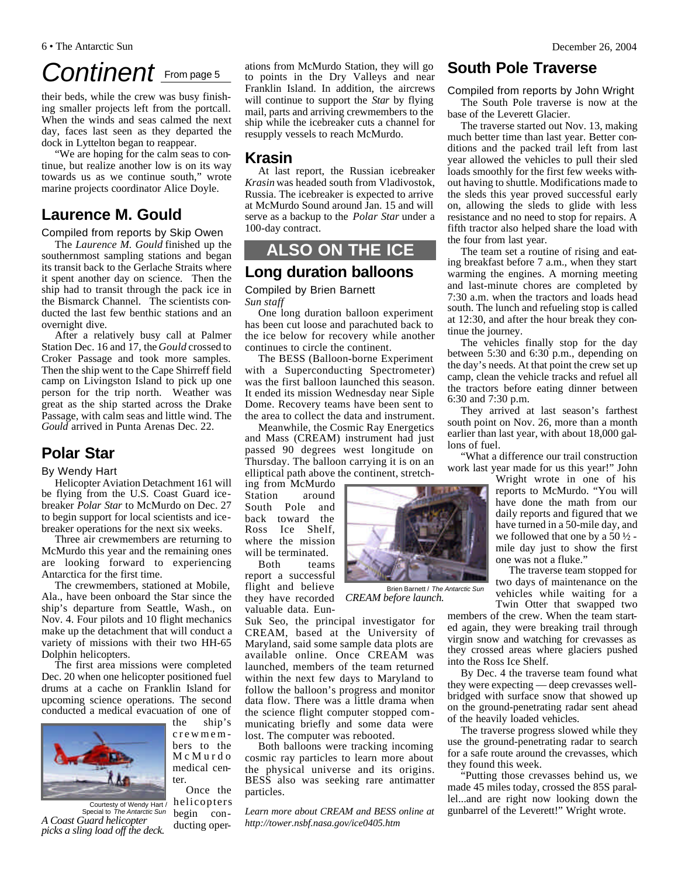## *Continent* From page 5

their beds, while the crew was busy finishing smaller projects left from the portcall. When the winds and seas calmed the next day, faces last seen as they departed the dock in Lyttelton began to reappear.

"We are hoping for the calm seas to continue, but realize another low is on its way towards us as we continue south," wrote marine projects coordinator Alice Doyle.

#### **Laurence M. Gould**

Compiled from reports by Skip Owen

The *Laurence M. Gould* finished up the southernmost sampling stations and began its transit back to the Gerlache Straits where it spent another day on science. Then the ship had to transit through the pack ice in the Bismarck Channel. The scientists conducted the last few benthic stations and an overnight dive.

After a relatively busy call at Palmer Station Dec. 16 and 17, the *Gould* crossed to Croker Passage and took more samples. Then the ship went to the Cape Shirreff field camp on Livingston Island to pick up one person for the trip north. Weather was great as the ship started across the Drake Passage, with calm seas and little wind. The *Gould* arrived in Punta Arenas Dec. 22.

#### **Polar Star**

#### By Wendy Hart

Helicopter Aviation Detachment 161 will be flying from the U.S. Coast Guard icebreaker *Polar Star* to McMurdo on Dec. 27 to begin support for local scientists and icebreaker operations for the next six weeks.

Three air crewmembers are returning to McMurdo this year and the remaining ones are looking forward to experiencing Antarctica for the first time.

The crewmembers, stationed at Mobile, Ala., have been onboard the Star since the ship's departure from Seattle, Wash., on Nov. 4. Four pilots and 10 flight mechanics make up the detachment that will conduct a variety of missions with their two HH-65 Dolphin helicopters.

The first area missions were completed Dec. 20 when one helicopter positioned fuel drums at a cache on Franklin Island for upcoming science operations. The second conducted a medical evacuation of one of the ship's



crewmem bers to the McMurdo medical center. Once the

Courtesty of Wendy Hart / Special to *The Antarctic Sun A Coast Guard helicopter picks a sling load off the deck.*

ations from McMurdo Station, they will go to points in the Dry Valleys and near Franklin Island. In addition, the aircrews will continue to support the *Star* by flying mail, parts and arriving crewmembers to the ship while the icebreaker cuts a channel for resupply vessels to reach McMurdo.

#### **Krasin**

At last report, the Russian icebreaker *Krasin* was headed south from Vladivostok, Russia. The icebreaker is expected to arrive at McMurdo Sound around Jan. 15 and will serve as a backup to the *Polar Star* under a 100-day contract.

#### **ALSO ON THE ICE**

#### **Long duration balloons**

Compiled by Brien Barnett *Sun staff*

One long duration balloon experiment has been cut loose and parachuted back to the ice below for recovery while another continues to circle the continent.

The BESS (Balloon-borne Experiment with a Superconducting Spectrometer) was the first balloon launched this season. It ended its mission Wednesday near Siple Dome. Recovery teams have been sent to the area to collect the data and instrument.

Meanwhile, the Cosmic Ray Energetics and Mass (CREAM) instrument had just passed 90 degrees west longitude on Thursday. The balloon carrying it is on an elliptical path above the continent, stretch-

ing from McMurdo Station around South Pole and back toward the Ross Ice Shelf, where the mission will be terminated.

Both teams report a successful flight and believe they have recorded valuable data. Eun-

Suk Seo, the principal investigator for CREAM, based at the University of Maryland, said some sample data plots are available online. Once CREAM was launched, members of the team returned within the next few days to Maryland to follow the balloon's progress and monitor data flow. There was a little drama when the science flight computer stopped communicating briefly and some data were lost. The computer was rebooted.

Both balloons were tracking incoming cosmic ray particles to learn more about the physical universe and its origins. BESS also was seeking rare antimatter particles.

*Learn more about CREAM and BESS online at http://tower.nsbf.nasa.gov/ice0405.htm*

#### **South Pole Traverse**

Compiled from reports by John Wright The South Pole traverse is now at the base of the Leverett Glacier.

The traverse started out Nov. 13, making much better time than last year. Better conditions and the packed trail left from last year allowed the vehicles to pull their sled loads smoothly for the first few weeks without having to shuttle. Modifications made to the sleds this year proved successful early on, allowing the sleds to glide with less resistance and no need to stop for repairs. A fifth tractor also helped share the load with the four from last year.

The team set a routine of rising and eating breakfast before 7 a.m., when they start warming the engines. A morning meeting and last-minute chores are completed by 7:30 a.m. when the tractors and loads head south. The lunch and refueling stop is called at 12:30, and after the hour break they continue the journey.

The vehicles finally stop for the day between 5:30 and 6:30 p.m., depending on the day's needs. At that point the crew set up camp, clean the vehicle tracks and refuel all the tractors before eating dinner between 6:30 and 7:30 p.m.

They arrived at last season's farthest south point on Nov. 26, more than a month earlier than last year, with about 18,000 gallons of fuel.

"What a difference our trail construction work last year made for us this year!" John

Wright wrote in one of his reports to McMurdo. "You will have done the math from our daily reports and figured that we have turned in a 50-mile day, and we followed that one by a 50 ½ mile day just to show the first one was not a fluke."

The traverse team stopped for two days of maintenance on the vehicles while waiting for a Twin Otter that swapped two

members of the crew. When the team started again, they were breaking trail through virgin snow and watching for crevasses as they crossed areas where glaciers pushed into the Ross Ice Shelf.

By Dec. 4 the traverse team found what they were expecting — deep crevasses wellbridged with surface snow that showed up on the ground-penetrating radar sent ahead of the heavily loaded vehicles.

The traverse progress slowed while they use the ground-penetrating radar to search for a safe route around the crevasses, which they found this week.

"Putting those crevasses behind us, we made 45 miles today, crossed the 85S parallel...and are right now looking down the gunbarrel of the Leverett!" Wright wrote.





helicopters begin conducting oper-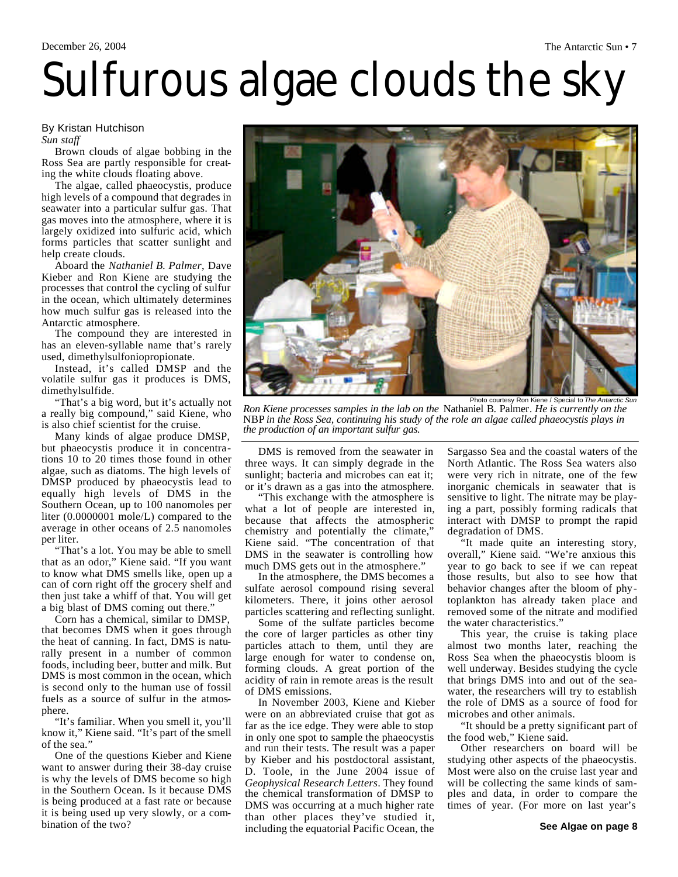# Sulfurous algae clouds the sky

#### By Kristan Hutchison *Sun staff*

Brown clouds of algae bobbing in the Ross Sea are partly responsible for creating the white clouds floating above.

The algae, called phaeocystis, produce high levels of a compound that degrades in seawater into a particular sulfur gas. That gas moves into the atmosphere, where it is largely oxidized into sulfuric acid, which forms particles that scatter sunlight and help create clouds.

Aboard the *Nathaniel B. Palmer*, Dave Kieber and Ron Kiene are studying the processes that control the cycling of sulfur in the ocean, which ultimately determines how much sulfur gas is released into the Antarctic atmosphere.

The compound they are interested in has an eleven-syllable name that's rarely used, dimethylsulfoniopropionate.

Instead, it's called DMSP and the volatile sulfur gas it produces is DMS, dimethylsulfide.

"That's a big word, but it's actually not a really big compound," said Kiene, who is also chief scientist for the cruise.

Many kinds of algae produce DMSP, but phaeocystis produce it in concentrations 10 to 20 times those found in other algae, such as diatoms. The high levels of DMSP produced by phaeocystis lead to equally high levels of DMS in the Southern Ocean, up to 100 nanomoles per liter (0.0000001 mole/L) compared to the average in other oceans of 2.5 nanomoles per liter.

"That's a lot. You may be able to smell that as an odor," Kiene said. "If you want to know what DMS smells like, open up a can of corn right off the grocery shelf and then just take a whiff of that. You will get a big blast of DMS coming out there."

Corn has a chemical, similar to DMSP, that becomes DMS when it goes through the heat of canning. In fact, DMS is naturally present in a number of common foods, including beer, butter and milk. But DMS is most common in the ocean, which is second only to the human use of fossil fuels as a source of sulfur in the atmosphere.

"It's familiar. When you smell it, you'll know it," Kiene said. "It's part of the smell of the sea."

One of the questions Kieber and Kiene want to answer during their 38-day cruise is why the levels of DMS become so high in the Southern Ocean. Is it because DMS is being produced at a fast rate or because it is being used up very slowly, or a combination of the two?

Photo courtesy Ron Kiene / Special to *The Antarctic Sun Ron Kiene processes samples in the lab on the* Nathaniel B. Palmer*. He is currently on the* NBP *in the Ross Sea, continuing his study of the role an algae called phaeocystis plays in the production of an important sulfur gas.*

DMS is removed from the seawater in three ways. It can simply degrade in the sunlight; bacteria and microbes can eat it; or it's drawn as a gas into the atmosphere.

"This exchange with the atmosphere is what a lot of people are interested in, because that affects the atmospheric chemistry and potentially the climate, Kiene said. "The concentration of that DMS in the seawater is controlling how much DMS gets out in the atmosphere."

In the atmosphere, the DMS becomes a sulfate aerosol compound rising several kilometers. There, it joins other aerosol particles scattering and reflecting sunlight.

Some of the sulfate particles become the core of larger particles as other tiny particles attach to them, until they are large enough for water to condense on, forming clouds. A great portion of the acidity of rain in remote areas is the result of DMS emissions.

In November 2003, Kiene and Kieber were on an abbreviated cruise that got as far as the ice edge. They were able to stop in only one spot to sample the phaeocystis and run their tests. The result was a paper by Kieber and his postdoctoral assistant, D. Toole, in the June 2004 issue of *Geophysical Research Letters*. They found the chemical transformation of DMSP to DMS was occurring at a much higher rate than other places they've studied it, including the equatorial Pacific Ocean, the Sargasso Sea and the coastal waters of the North Atlantic. The Ross Sea waters also were very rich in nitrate, one of the few inorganic chemicals in seawater that is sensitive to light. The nitrate may be playing a part, possibly forming radicals that interact with DMSP to prompt the rapid degradation of DMS.

"It made quite an interesting story, overall," Kiene said. "We're anxious this year to go back to see if we can repeat those results, but also to see how that behavior changes after the bloom of phytoplankton has already taken place and removed some of the nitrate and modified the water characteristics."

This year, the cruise is taking place almost two months later, reaching the Ross Sea when the phaeocystis bloom is well underway. Besides studying the cycle that brings DMS into and out of the seawater, the researchers will try to establish the role of DMS as a source of food for microbes and other animals.

"It should be a pretty significant part of the food web," Kiene said.

Other researchers on board will be studying other aspects of the phaeocystis. Most were also on the cruise last year and will be collecting the same kinds of samples and data, in order to compare the times of year. (For more on last year's

# December 26, 2004 The Antarctic Sun • 7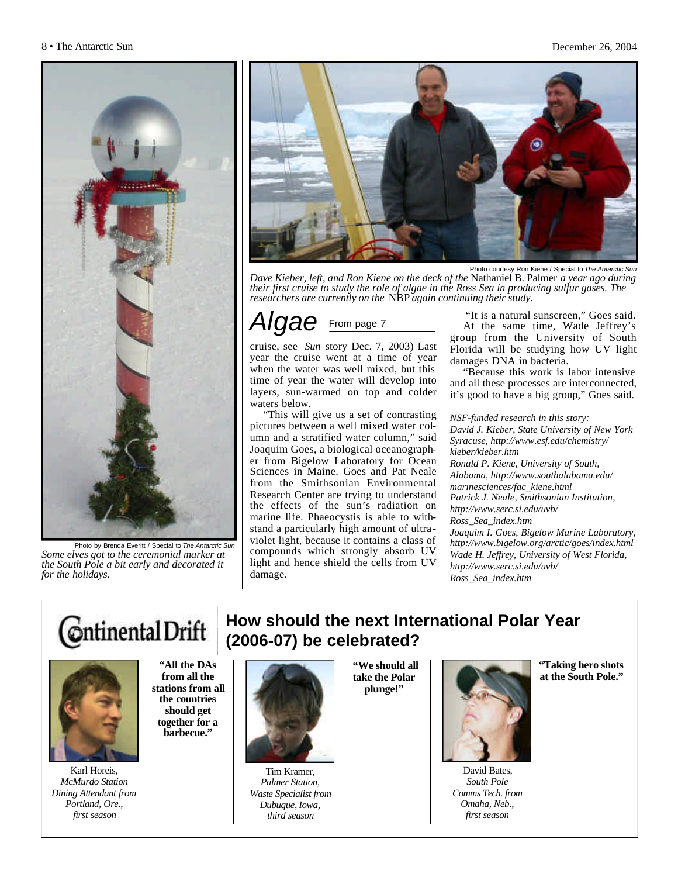

Photo by Brenda Everitt / Special to *The Antarctic Sun Some elves got to the ceremonial marker at the South Pole a bit early and decorated it for the holidays.*



Photo courtesy Ron Kiene / Special to *The Antarctic Sun*

*Dave Kieber, left, and Ron Kiene on the deck of the* Nathaniel B. Palmer *a year ago during their first cruise to study the role of algae in the Ross Sea in producing sulfur gases. The researchers are currently on the* NBP *again continuing their study.*

### *AC* From page 7

cruise, see *Sun* story Dec. 7, 2003) Last year the cruise went at a time of year when the water was well mixed, but this time of year the water will develop into layers, sun-warmed on top and colder waters below.

"This will give us a set of contrasting pictures between a well mixed water column and a stratified water column," said Joaquim Goes, a biological oceanographer from Bigelow Laboratory for Ocean Sciences in Maine. Goes and Pat Neale from the Smithsonian Environmental Research Center are trying to understand the effects of the sun's radiation on marine life. Phaeocystis is able to withstand a particularly high amount of ultraviolet light, because it contains a class of compounds which strongly absorb UV light and hence shield the cells from UV damage.

"It is a natural sunscreen," Goes said. At the same time, Wade Jeffrey's group from the University of South Florida will be studying how UV light damages DNA in bacteria.

"Because this work is labor intensive and all these processes are interconnected, it's good to have a big group," Goes said.

#### *NSF-funded research in this story:*

*David J. Kieber, State University of New York Syracuse, http://www.esf.edu/chemistry/ kieber/kieber.htm Ronald P. Kiene, University of South, Alabama, http://www.southalabama.edu/ marinesciences/fac\_kiene.html Patrick J. Neale, Smithsonian Institution, http://www.serc.si.edu/uvb/ Ross\_Sea\_index.htm Joaquim I. Goes, Bigelow Marine Laboratory, http://www.bigelow.org/arctic/goes/index.html Wade H. Jeffrey, University of West Florida, http://www.serc.si.edu/uvb/ Ross\_Sea\_index.htm*

## Continental Drift



**"All the DAs from all the stations from all the countries should get together for a barbecue."**

Karl Horeis, *McMurdo Station Dining Attendant from Portland, Ore., first season*





Tim Kramer, *Palmer Station, Waste Specialist from Dubuque, Iowa, third season*

**take the Polar plunge!"** 



David Bates, *South Pole Comms Tech. from Omaha, Neb., first season* 

**"Taking hero shots at the South Pole."**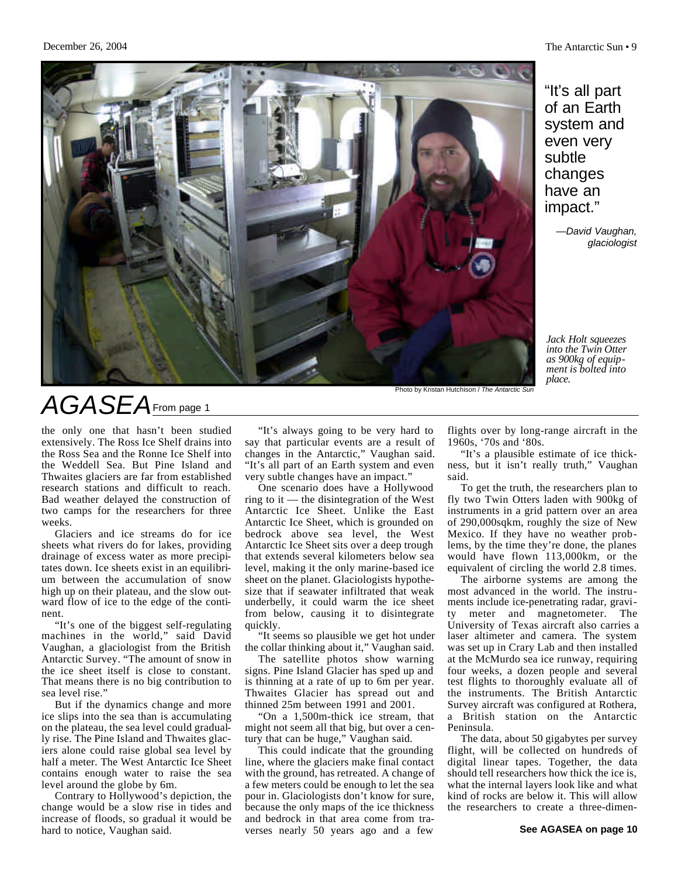

"It's all part of an Earth system and even very subtle changes have an impact."

> *—David Vaughan, glaciologist*

*Jack Holt squeezes into the Twin Otter as 900kg of equipment is bolted into place.*

Photo by Kristan Hutchison / *The Antarctic Sun*

## *AGASEA*From page 1

the only one that hasn't been studied extensively. The Ross Ice Shelf drains into the Ross Sea and the Ronne Ice Shelf into the Weddell Sea. But Pine Island and Thwaites glaciers are far from established research stations and difficult to reach. Bad weather delayed the construction of two camps for the researchers for three weeks.

Glaciers and ice streams do for ice sheets what rivers do for lakes, providing drainage of excess water as more precipitates down. Ice sheets exist in an equilibrium between the accumulation of snow high up on their plateau, and the slow outward flow of ice to the edge of the continent.

"It's one of the biggest self-regulating machines in the world," said David Vaughan, a glaciologist from the British Antarctic Survey. "The amount of snow in the ice sheet itself is close to constant. That means there is no big contribution to sea level rise."

But if the dynamics change and more ice slips into the sea than is accumulating on the plateau, the sea level could gradually rise. The Pine Island and Thwaites glaciers alone could raise global sea level by half a meter. The West Antarctic Ice Sheet contains enough water to raise the sea level around the globe by 6m.

Contrary to Hollywood's depiction, the change would be a slow rise in tides and increase of floods, so gradual it would be hard to notice, Vaughan said.

"It's always going to be very hard to say that particular events are a result of changes in the Antarctic," Vaughan said. "It's all part of an Earth system and even very subtle changes have an impact."

One scenario does have a Hollywood ring to it — the disintegration of the West Antarctic Ice Sheet. Unlike the East Antarctic Ice Sheet, which is grounded on bedrock above sea level, the West Antarctic Ice Sheet sits over a deep trough that extends several kilometers below sea level, making it the only marine-based ice sheet on the planet. Glaciologists hypothesize that if seawater infiltrated that weak underbelly, it could warm the ice sheet from below, causing it to disintegrate quickly.

"It seems so plausible we get hot under the collar thinking about it," Vaughan said.

The satellite photos show warning signs. Pine Island Glacier has sped up and is thinning at a rate of up to 6m per year. Thwaites Glacier has spread out and thinned 25m between 1991 and 2001.

"On a 1,500m-thick ice stream, that might not seem all that big, but over a century that can be huge," Vaughan said.

This could indicate that the grounding line, where the glaciers make final contact with the ground, has retreated. A change of a few meters could be enough to let the sea pour in. Glaciologists don't know for sure, because the only maps of the ice thickness and bedrock in that area come from traverses nearly 50 years ago and a few

flights over by long-range aircraft in the 1960s, '70s and '80s.

"It's a plausible estimate of ice thickness, but it isn't really truth," Vaughan said.

To get the truth, the researchers plan to fly two Twin Otters laden with 900kg of instruments in a grid pattern over an area of 290,000sqkm, roughly the size of New Mexico. If they have no weather problems, by the time they're done, the planes would have flown 113,000km, or the equivalent of circling the world 2.8 times.

The airborne systems are among the most advanced in the world. The instruments include ice-penetrating radar, gravity meter and magnetometer. The University of Texas aircraft also carries a laser altimeter and camera. The system was set up in Crary Lab and then installed at the McMurdo sea ice runway, requiring four weeks, a dozen people and several test flights to thoroughly evaluate all of the instruments. The British Antarctic Survey aircraft was configured at Rothera, a British station on the Antarctic Peninsula.

The data, about 50 gigabytes per survey flight, will be collected on hundreds of digital linear tapes. Together, the data should tell researchers how thick the ice is, what the internal layers look like and what kind of rocks are below it. This will allow the researchers to create a three-dimen-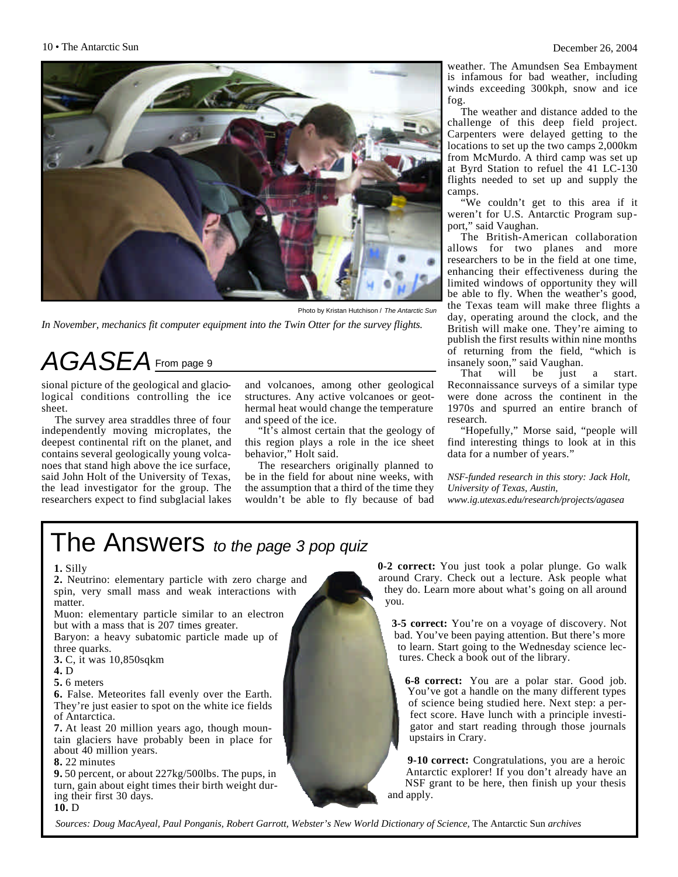

Photo by Kristan Hutchison / *The Antarctic Sun In November, mechanics fit computer equipment into the Twin Otter for the survey flights.*

## *AGASEA*From page 9

sional picture of the geological and glaciological conditions controlling the ice sheet.

The survey area straddles three of four independently moving microplates, the deepest continental rift on the planet, and contains several geologically young volcanoes that stand high above the ice surface, said John Holt of the University of Texas, the lead investigator for the group. The researchers expect to find subglacial lakes and volcanoes, among other geological structures. Any active volcanoes or geothermal heat would change the temperature and speed of the ice.

"It's almost certain that the geology of this region plays a role in the ice sheet behavior," Holt said.

The researchers originally planned to be in the field for about nine weeks, with the assumption that a third of the time they wouldn't be able to fly because of bad

weather. The Amundsen Sea Embayment is infamous for bad weather, including winds exceeding 300kph, snow and ice fog.

The weather and distance added to the challenge of this deep field project. Carpenters were delayed getting to the locations to set up the two camps 2,000km from McMurdo. A third camp was set up at Byrd Station to refuel the 41 LC-130 flights needed to set up and supply the camps.

"We couldn't get to this area if it weren't for U.S. Antarctic Program support," said Vaughan.

The British-American collaboration allows for two planes and more researchers to be in the field at one time, enhancing their effectiveness during the limited windows of opportunity they will be able to fly. When the weather's good, the Texas team will make three flights a day, operating around the clock, and the British will make one. They're aiming to publish the first results within nine months of returning from the field, "which is insanely soon," said Vaughan.<br>That will be just a

That will be just a start. Reconnaissance surveys of a similar type were done across the continent in the 1970s and spurred an entire branch of research.

"Hopefully," Morse said, "people will find interesting things to look at in this data for a number of years."

*NSF-funded research in this story: Jack Holt, University of Texas, Austin, www.ig.utexas.edu/research/projects/agasea*

## The Answers *to the page 3 pop quiz*

#### **1.** Silly

**2.** Neutrino: elementary particle with zero charge and spin, very small mass and weak interactions with matter.

Muon: elementary particle similar to an electron but with a mass that is 207 times greater.

Baryon: a heavy subatomic particle made up of three quarks.

**3.** C, it was 10,850sqkm

**4.** D

**5.** 6 meters

**6.** False. Meteorites fall evenly over the Earth. They're just easier to spot on the white ice fields of Antarctica.

**7.** At least 20 million years ago, though mountain glaciers have probably been in place for about 40 million years.

**8.** 22 minutes

**9.** 50 percent, or about 227kg/500lbs. The pups, in turn, gain about eight times their birth weight during their first 30 days.

**10.** D

**0-2 correct:** You just took a polar plunge. Go walk around Crary. Check out a lecture. Ask people what they do. Learn more about what's going on all around you.

**3-5 correct:** You're on a voyage of discovery. Not bad. You've been paying attention. But there's more to learn. Start going to the Wednesday science lectures. Check a book out of the library.

**6-8 correct:** You are a polar star. Good job. You've got a handle on the many different types of science being studied here. Next step: a perfect score. Have lunch with a principle investigator and start reading through those journals upstairs in Crary.

**9-10 correct:** Congratulations, you are a heroic Antarctic explorer! If you don't already have an NSF grant to be here, then finish up your thesis and apply.

*Sources: Doug MacAyeal, Paul Ponganis, Robert Garrott, Webster's New World Dictionary of Science,* The Antarctic Sun *archives*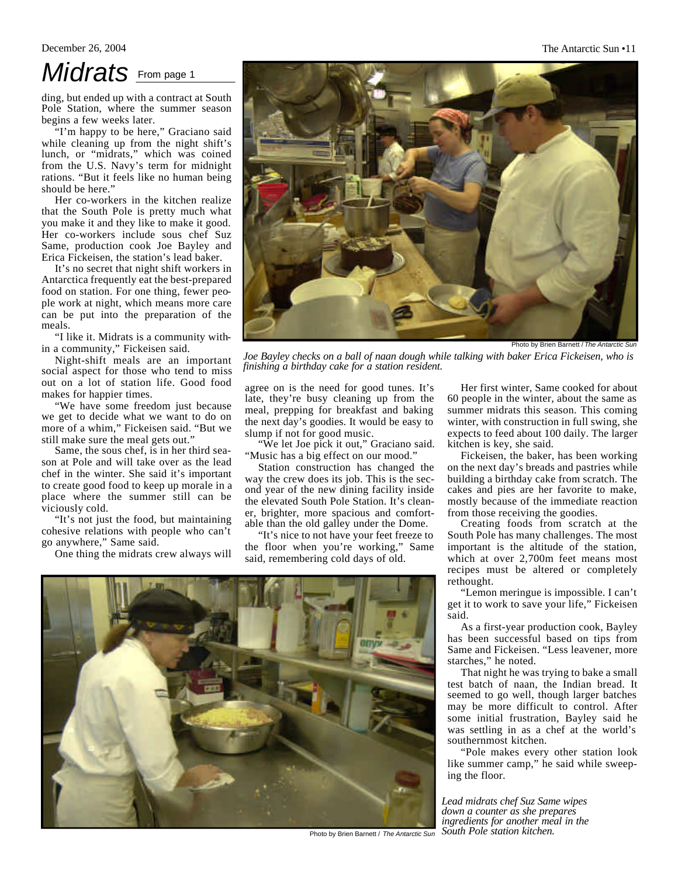#### December 26, 2004 The Antarctic Sun •11

## *Midrats* From page 1

ding, but ended up with a contract at South Pole Station, where the summer season begins a few weeks later.

"I'm happy to be here," Graciano said while cleaning up from the night shift's lunch, or "midrats," which was coined from the U.S. Navy's term for midnight rations. "But it feels like no human being should be here."

Her co-workers in the kitchen realize that the South Pole is pretty much what you make it and they like to make it good. Her co-workers include sous chef Suz Same, production cook Joe Bayley and Erica Fickeisen, the station's lead baker.

It's no secret that night shift workers in Antarctica frequently eat the best-prepared food on station. For one thing, fewer people work at night, which means more care can be put into the preparation of the meals.

"I like it. Midrats is a community within a community," Fickeisen said.

Night-shift meals are an important social aspect for those who tend to miss out on a lot of station life. Good food makes for happier times.

"We have some freedom just because we get to decide what we want to do on more of a whim," Fickeisen said. "But we still make sure the meal gets out."

Same, the sous chef, is in her third season at Pole and will take over as the lead chef in the winter. She said it's important to create good food to keep up morale in a place where the summer still can be viciously cold.

"It's not just the food, but maintaining cohesive relations with people who can't go anywhere," Same said.

One thing the midrats crew always will



*Joe Bayley checks on a ball of naan dough while talking with baker Erica Fickeisen, who is finishing a birthday cake for a station resident.*

agree on is the need for good tunes. It's late, they're busy cleaning up from the meal, prepping for breakfast and baking the next day's goodies. It would be easy to slump if not for good music.

"We let Joe pick it out," Graciano said. "Music has a big effect on our mood."

Station construction has changed the way the crew does its job. This is the second year of the new dining facility inside the elevated South Pole Station. It's cleaner, brighter, more spacious and comfortable than the old galley under the Dome.

"It's nice to not have your feet freeze to the floor when you're working," Same said, remembering cold days of old.



Photo by Brien Barnett / *The Antarctic Sun*

Her first winter, Same cooked for about 60 people in the winter, about the same as summer midrats this season. This coming winter, with construction in full swing, she expects to feed about 100 daily. The larger kitchen is key, she said.

Fickeisen, the baker, has been working on the next day's breads and pastries while building a birthday cake from scratch. The cakes and pies are her favorite to make, mostly because of the immediate reaction from those receiving the goodies.

Creating foods from scratch at the South Pole has many challenges. The most important is the altitude of the station, which at over 2,700m feet means most recipes must be altered or completely rethought.

"Lemon meringue is impossible. I can't get it to work to save your life," Fickeisen said.

As a first-year production cook, Bayley has been successful based on tips from Same and Fickeisen. "Less leavener, more starches," he noted.

That night he was trying to bake a small test batch of naan, the Indian bread. It seemed to go well, though larger batches may be more difficult to control. After some initial frustration, Bayley said he was settling in as a chef at the world's southernmost kitchen.

"Pole makes every other station look like summer camp," he said while sweeping the floor.

*Lead midrats chef Suz Same wipes down a counter as she prepares ingredients for another meal in the South Pole station kitchen.*